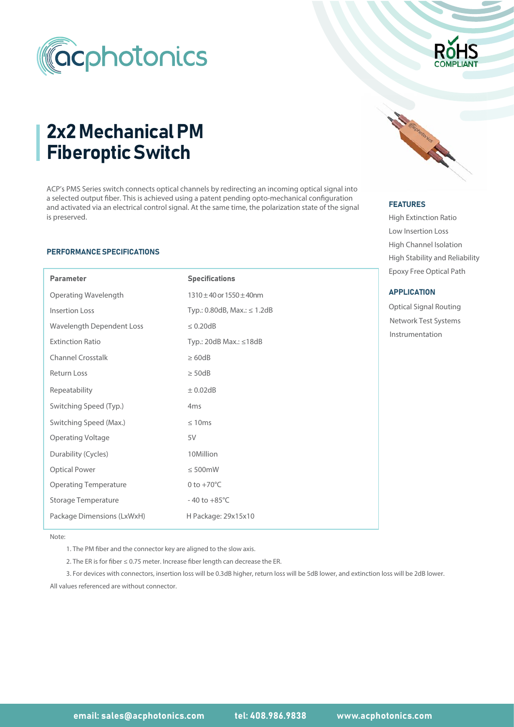

# 2x2 Mechanical PM Fiberoptic Switch

ACP's PMS Series switch connects optical channels by redirecting an incoming optical signal into a selected output fiber. This is achieved using a patent pending opto-mechanical configuration and activated via an electrical control signal. At the same time, the polarization state of the signal is preserved.

#### PERFORMANCE SPECIFICATIONS

I

| <b>Parameter</b>             | <b>Specifications</b>             |  |  |  |
|------------------------------|-----------------------------------|--|--|--|
| Operating Wavelength         | $1310 \pm 40$ or $1550 \pm 40$ nm |  |  |  |
| <b>Insertion Loss</b>        | Typ.: 0.80dB, Max.: $\leq 1.2$ dB |  |  |  |
| Wavelength Dependent Loss    | $\leq 0.20$ dB                    |  |  |  |
| <b>Extinction Ratio</b>      | Typ.: 20dB Max.: $\leq 18$ dB     |  |  |  |
| <b>Channel Crosstalk</b>     | $\geq 60dB$                       |  |  |  |
| <b>Return Loss</b>           | $\geq$ 50dB                       |  |  |  |
| Repeatability                | $\pm$ 0.02dB                      |  |  |  |
| Switching Speed (Typ.)       | 4 <sub>ms</sub>                   |  |  |  |
| Switching Speed (Max.)       | $\leq 10$ ms                      |  |  |  |
| <b>Operating Voltage</b>     | 5V                                |  |  |  |
| Durability (Cycles)          | 10Million                         |  |  |  |
| <b>Optical Power</b>         | $\leq 500$ mW                     |  |  |  |
| <b>Operating Temperature</b> | $0$ to $+70^{\circ}$ C            |  |  |  |
| Storage Temperature          | $-40$ to $+85^{\circ}$ C          |  |  |  |
| Package Dimensions (LxWxH)   | H Package: 29x15x10               |  |  |  |



#### FEATURES FEATURES

High Extinction Ratio Low Insertion Loss High Channel Isolation Epoxy Free Optical Path High Stability and Reliability

#### **APPLICATION**

Optical Signal Routing Instrumentation Network Test Systems

Note:

1. The PM fiber and the connector key are aligned to the slow axis.

2. The ER is for fiber  $\leq 0.75$  meter. Increase fiber length can decrease the ER.

All values referenced are without connector. 3. For devices with connectors, insertion loss will be 0.3dB higher, return loss will be 5dB lower, and extinction loss will be 2dB lower.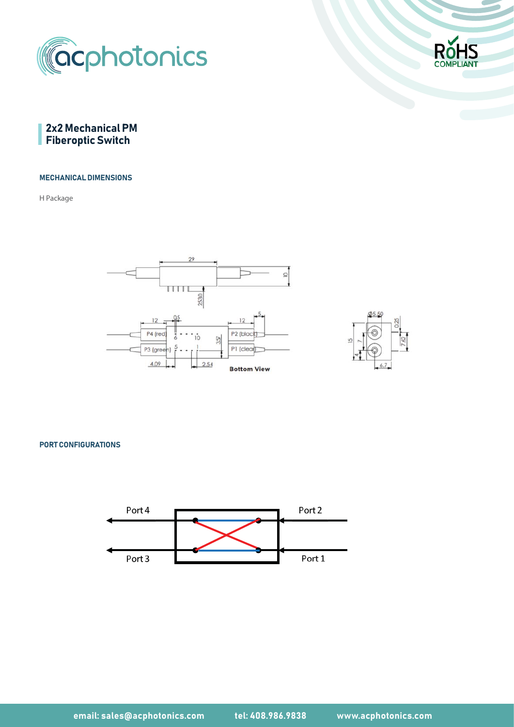





#### MECHANICAL DIMENSIONS

H Package





PORT CONFIGURATIONS